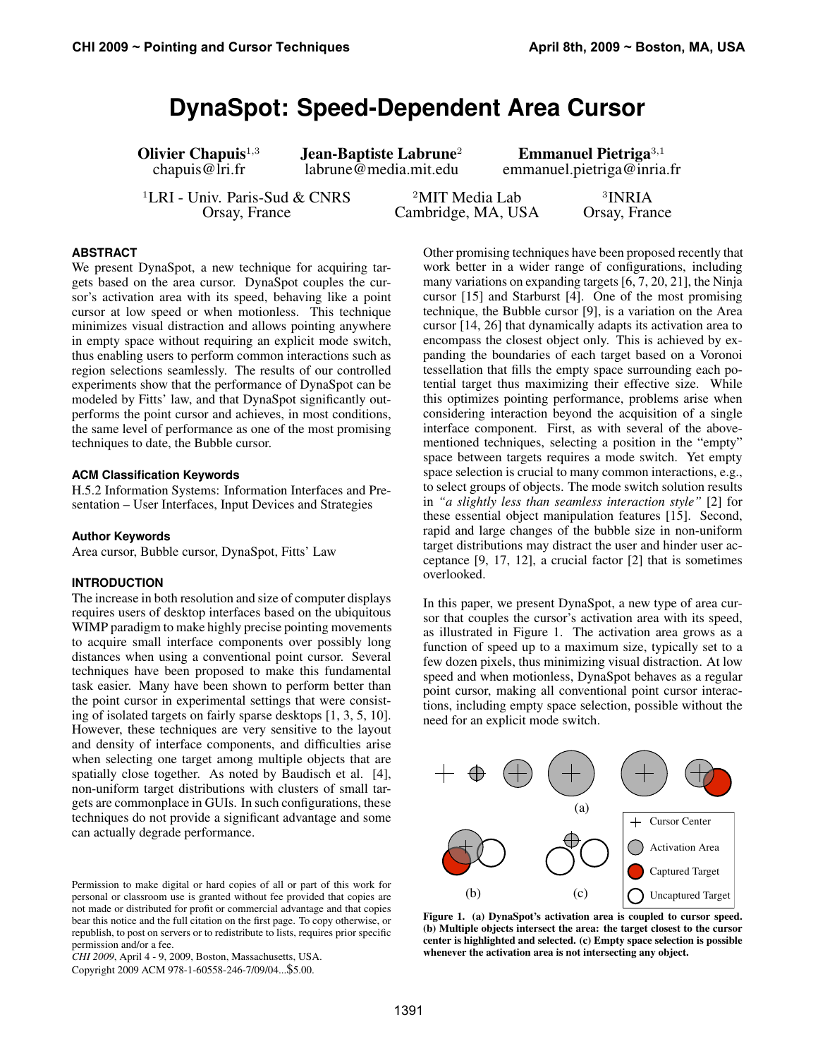# **DynaSpot: Speed-Dependent Area Cursor**

**Olivier Chapuis**<sup>1,3</sup> **Jean-Baptiste Labrune<sup>2</sup> Emmanuel Pietriga**<sup>3,1</sup> chapuis@lri.fr labrune@media.mit.edu emmanuel.pietriga@inria

<sup>1</sup>LRI - Univ. Paris-Sud & CNRS  $\frac{2\text{MIT Media Lab}}{\text{Cambridge, MA, USA}}$  3INRIA Orsay, France

emmanuel.pietriga@inria.fr

Cambridge, MA, USA

<sup>3</sup>INRIA

# **ABSTRACT**

We present DynaSpot, a new technique for acquiring targets based on the area cursor. DynaSpot couples the cursor's activation area with its speed, behaving like a point cursor at low speed or when motionless. This technique minimizes visual distraction and allows pointing anywhere in empty space without requiring an explicit mode switch, thus enabling users to perform common interactions such as region selections seamlessly. The results of our controlled experiments show that the performance of DynaSpot can be modeled by Fitts' law, and that DynaSpot significantly outperforms the point cursor and achieves, in most conditions, the same level of performance as one of the most promising techniques to date, the Bubble cursor.

#### **ACM Classification Keywords**

H.5.2 Information Systems: Information Interfaces and Presentation – User Interfaces, Input Devices and Strategies

#### **Author Keywords**

Area cursor, Bubble cursor, DynaSpot, Fitts' Law

## **INTRODUCTION**

The increase in both resolution and size of computer displays requires users of desktop interfaces based on the ubiquitous WIMP paradigm to make highly precise pointing movements to acquire small interface components over possibly long distances when using a conventional point cursor. Several techniques have been proposed to make this fundamental task easier. Many have been shown to perform better than the point cursor in experimental settings that were consisting of isolated targets on fairly sparse desktops [1, 3, 5, 10]. However, these techniques are very sensitive to the layout and density of interface components, and difficulties arise when selecting one target among multiple objects that are spatially close together. As noted by Baudisch et al. [4], non-uniform target distributions with clusters of small targets are commonplace in GUIs. In such configurations, these techniques do not provide a significant advantage and some can actually degrade performance.

Permission to make digital or hard copies of all or part of this work for personal or classroom use is granted without fee provided that copies are not made or distributed for profit or commercial advantage and that copies bear this notice and the full citation on the first page. To copy otherwise, or republish, to post on servers or to redistribute to lists, requires prior specific permission and/or a fee.

*CHI 2009*, April 4 - 9, 2009, Boston, Massachusetts, USA.

Copyright 2009 ACM 978-1-60558-246-7/09/04...\$5.00.

Other promising techniques have been proposed recently that work better in a wider range of configurations, including many variations on expanding targets [6, 7, 20, 21], the Ninja cursor [15] and Starburst [4]. One of the most promising technique, the Bubble cursor [9], is a variation on the Area cursor [14, 26] that dynamically adapts its activation area to encompass the closest object only. This is achieved by expanding the boundaries of each target based on a Voronoi tessellation that fills the empty space surrounding each potential target thus maximizing their effective size. While this optimizes pointing performance, problems arise when considering interaction beyond the acquisition of a single interface component. First, as with several of the abovementioned techniques, selecting a position in the "empty" space between targets requires a mode switch. Yet empty space selection is crucial to many common interactions, e.g., to select groups of objects. The mode switch solution results in *"a slightly less than seamless interaction style"* [2] for these essential object manipulation features [15]. Second, rapid and large changes of the bubble size in non-uniform target distributions may distract the user and hinder user acceptance [9, 17, 12], a crucial factor [2] that is sometimes overlooked.

In this paper, we present DynaSpot, a new type of area cursor that couples the cursor's activation area with its speed, as illustrated in Figure 1. The activation area grows as a function of speed up to a maximum size, typically set to a few dozen pixels, thus minimizing visual distraction. At low speed and when motionless, DynaSpot behaves as a regular point cursor, making all conventional point cursor interactions, including empty space selection, possible without the need for an explicit mode switch.



Figure 1. (a) DynaSpot's activation area is coupled to cursor speed. (b) Multiple objects intersect the area: the target closest to the cursor center is highlighted and selected. (c) Empty space selection is possible whenever the activation area is not intersecting any object.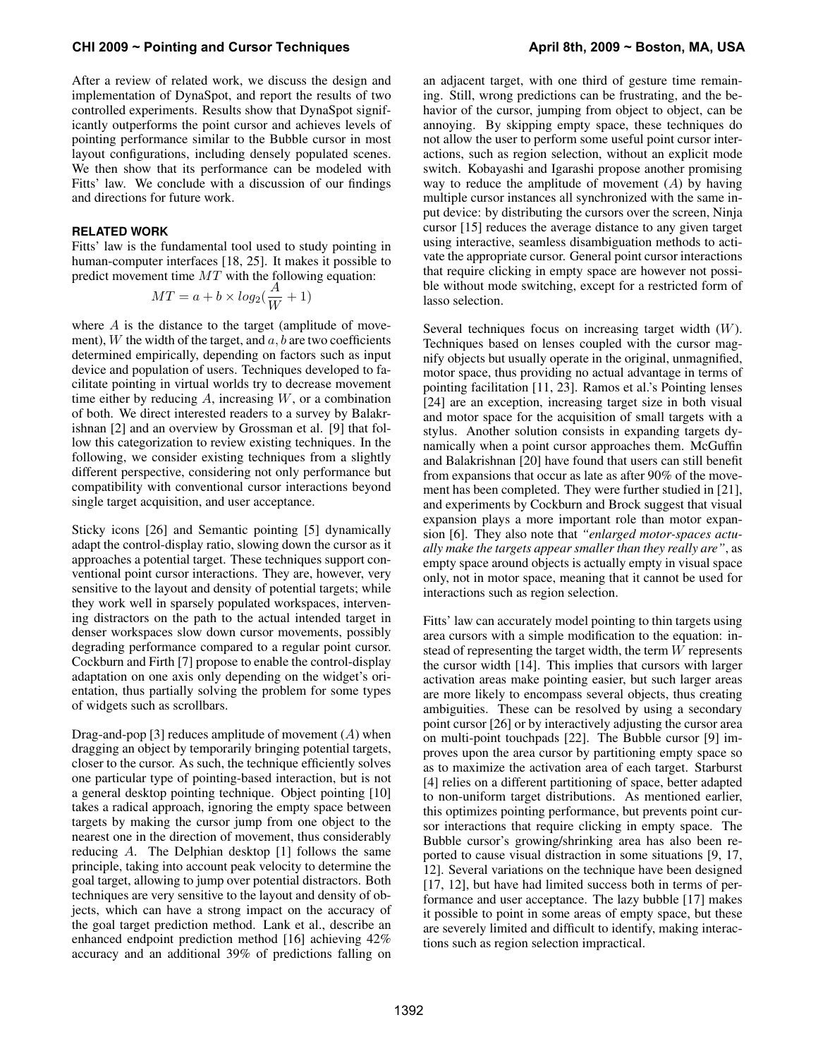After a review of related work, we discuss the design and implementation of DynaSpot, and report the results of two controlled experiments. Results show that DynaSpot significantly outperforms the point cursor and achieves levels of pointing performance similar to the Bubble cursor in most layout configurations, including densely populated scenes. We then show that its performance can be modeled with Fitts' law. We conclude with a discussion of our findings and directions for future work.

## **RELATED WORK**

Fitts' law is the fundamental tool used to study pointing in human-computer interfaces [18, 25]. It makes it possible to predict movement time MT with the following equation:

$$
MT = a + b \times log_2(\frac{A}{W} + 1)
$$

where  $A$  is the distance to the target (amplitude of movement), W the width of the target, and  $a, b$  are two coefficients determined empirically, depending on factors such as input device and population of users. Techniques developed to facilitate pointing in virtual worlds try to decrease movement time either by reducing  $A$ , increasing  $W$ , or a combination of both. We direct interested readers to a survey by Balakrishnan [2] and an overview by Grossman et al. [9] that follow this categorization to review existing techniques. In the following, we consider existing techniques from a slightly different perspective, considering not only performance but compatibility with conventional cursor interactions beyond single target acquisition, and user acceptance.

Sticky icons [26] and Semantic pointing [5] dynamically adapt the control-display ratio, slowing down the cursor as it approaches a potential target. These techniques support conventional point cursor interactions. They are, however, very sensitive to the layout and density of potential targets; while they work well in sparsely populated workspaces, intervening distractors on the path to the actual intended target in denser workspaces slow down cursor movements, possibly degrading performance compared to a regular point cursor. Cockburn and Firth [7] propose to enable the control-display adaptation on one axis only depending on the widget's orientation, thus partially solving the problem for some types of widgets such as scrollbars.

Drag-and-pop [3] reduces amplitude of movement  $(A)$  when dragging an object by temporarily bringing potential targets, closer to the cursor. As such, the technique efficiently solves one particular type of pointing-based interaction, but is not a general desktop pointing technique. Object pointing [10] takes a radical approach, ignoring the empty space between targets by making the cursor jump from one object to the nearest one in the direction of movement, thus considerably reducing A. The Delphian desktop [1] follows the same principle, taking into account peak velocity to determine the goal target, allowing to jump over potential distractors. Both techniques are very sensitive to the layout and density of objects, which can have a strong impact on the accuracy of the goal target prediction method. Lank et al., describe an enhanced endpoint prediction method [16] achieving 42% accuracy and an additional 39% of predictions falling on an adjacent target, with one third of gesture time remaining. Still, wrong predictions can be frustrating, and the behavior of the cursor, jumping from object to object, can be annoying. By skipping empty space, these techniques do not allow the user to perform some useful point cursor interactions, such as region selection, without an explicit mode switch. Kobayashi and Igarashi propose another promising way to reduce the amplitude of movement  $(A)$  by having multiple cursor instances all synchronized with the same input device: by distributing the cursors over the screen, Ninja cursor [15] reduces the average distance to any given target using interactive, seamless disambiguation methods to activate the appropriate cursor. General point cursor interactions that require clicking in empty space are however not possible without mode switching, except for a restricted form of lasso selection.

Several techniques focus on increasing target width (W). Techniques based on lenses coupled with the cursor magnify objects but usually operate in the original, unmagnified, motor space, thus providing no actual advantage in terms of pointing facilitation [11, 23]. Ramos et al.'s Pointing lenses [24] are an exception, increasing target size in both visual and motor space for the acquisition of small targets with a stylus. Another solution consists in expanding targets dynamically when a point cursor approaches them. McGuffin and Balakrishnan [20] have found that users can still benefit from expansions that occur as late as after 90% of the movement has been completed. They were further studied in [21], and experiments by Cockburn and Brock suggest that visual expansion plays a more important role than motor expansion [6]. They also note that *"enlarged motor-spaces actually make the targets appear smaller than they really are"*, as empty space around objects is actually empty in visual space only, not in motor space, meaning that it cannot be used for interactions such as region selection.

Fitts' law can accurately model pointing to thin targets using area cursors with a simple modification to the equation: instead of representing the target width, the term W represents the cursor width [14]. This implies that cursors with larger activation areas make pointing easier, but such larger areas are more likely to encompass several objects, thus creating ambiguities. These can be resolved by using a secondary point cursor [26] or by interactively adjusting the cursor area on multi-point touchpads [22]. The Bubble cursor [9] improves upon the area cursor by partitioning empty space so as to maximize the activation area of each target. Starburst [4] relies on a different partitioning of space, better adapted to non-uniform target distributions. As mentioned earlier, this optimizes pointing performance, but prevents point cursor interactions that require clicking in empty space. The Bubble cursor's growing/shrinking area has also been reported to cause visual distraction in some situations [9, 17, 12]. Several variations on the technique have been designed [17, 12], but have had limited success both in terms of performance and user acceptance. The lazy bubble [17] makes it possible to point in some areas of empty space, but these are severely limited and difficult to identify, making interactions such as region selection impractical.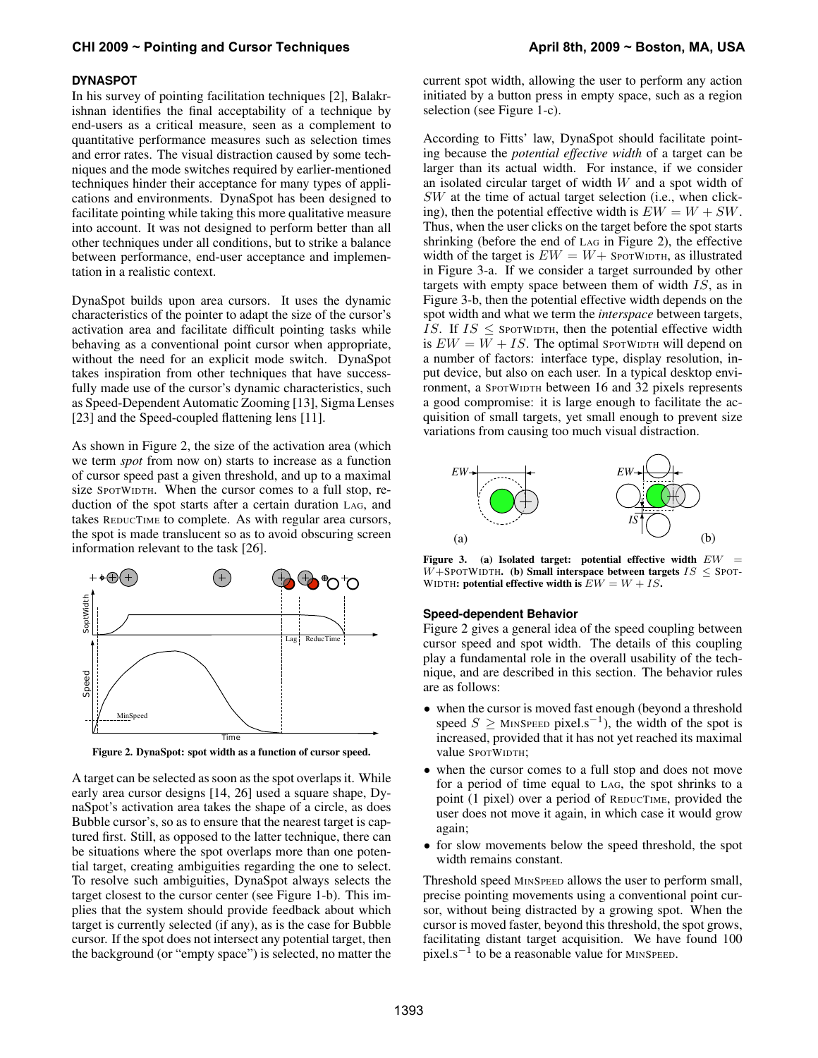### **DYNASPOT**

In his survey of pointing facilitation techniques [2], Balakrishnan identifies the final acceptability of a technique by end-users as a critical measure, seen as a complement to quantitative performance measures such as selection times and error rates. The visual distraction caused by some techniques and the mode switches required by earlier-mentioned techniques hinder their acceptance for many types of applications and environments. DynaSpot has been designed to facilitate pointing while taking this more qualitative measure into account. It was not designed to perform better than all other techniques under all conditions, but to strike a balance between performance, end-user acceptance and implementation in a realistic context.

DynaSpot builds upon area cursors. It uses the dynamic characteristics of the pointer to adapt the size of the cursor's activation area and facilitate difficult pointing tasks while behaving as a conventional point cursor when appropriate, without the need for an explicit mode switch. DynaSpot takes inspiration from other techniques that have successfully made use of the cursor's dynamic characteristics, such as Speed-Dependent Automatic Zooming [13], Sigma Lenses [23] and the Speed-coupled flattening lens [11].

As shown in Figure 2, the size of the activation area (which we term *spot* from now on) starts to increase as a function of cursor speed past a given threshold, and up to a maximal size SPOTWIDTH. When the cursor comes to a full stop, reduction of the spot starts after a certain duration LAG, and takes REDUCTIME to complete. As with regular area cursors, the spot is made translucent so as to avoid obscuring screen information relevant to the task [26].



Figure 2. DynaSpot: spot width as a function of cursor speed.

A target can be selected as soon as the spot overlaps it. While early area cursor designs [14, 26] used a square shape, DynaSpot's activation area takes the shape of a circle, as does Bubble cursor's, so as to ensure that the nearest target is captured first. Still, as opposed to the latter technique, there can be situations where the spot overlaps more than one potential target, creating ambiguities regarding the one to select. To resolve such ambiguities, DynaSpot always selects the target closest to the cursor center (see Figure 1-b). This implies that the system should provide feedback about which target is currently selected (if any), as is the case for Bubble cursor. If the spot does not intersect any potential target, then the background (or "empty space") is selected, no matter the current spot width, allowing the user to perform any action initiated by a button press in empty space, such as a region selection (see Figure 1-c).

According to Fitts' law, DynaSpot should facilitate pointing because the *potential effective width* of a target can be larger than its actual width. For instance, if we consider an isolated circular target of width W and a spot width of SW at the time of actual target selection (i.e., when clicking), then the potential effective width is  $EW = W + SW$ . Thus, when the user clicks on the target before the spot starts shrinking (before the end of LAG in Figure 2), the effective width of the target is  $EW = W +$  SporWIDTH, as illustrated in Figure 3-a. If we consider a target surrounded by other targets with empty space between them of width  $IS$ , as in Figure 3-b, then the potential effective width depends on the spot width and what we term the *interspace* between targets, IS. If  $IS \le$  SPOTWIDTH, then the potential effective width is  $EW = W + IS$ . The optimal SPOTWIDTH will depend on a number of factors: interface type, display resolution, input device, but also on each user. In a typical desktop environment, a SPOTWIDTH between 16 and 32 pixels represents a good compromise: it is large enough to facilitate the acquisition of small targets, yet small enough to prevent size variations from causing too much visual distraction.



Figure 3. (a) Isolated target: potential effective width  $EW =$ W+SPOTWIDTH. (b) Small interspace between targets  $IS <$  SPOT-WIDTH: potential effective width is  $EW = W + IS$ .

#### **Speed-dependent Behavior**

Figure 2 gives a general idea of the speed coupling between cursor speed and spot width. The details of this coupling play a fundamental role in the overall usability of the technique, and are described in this section. The behavior rules are as follows:

- when the cursor is moved fast enough (beyond a threshold speed  $S \geq$  MINSPEED pixel.s<sup>-1</sup>), the width of the spot is increased, provided that it has not yet reached its maximal value SPOTWIDTH;
- when the cursor comes to a full stop and does not move for a period of time equal to LAG, the spot shrinks to a point (1 pixel) over a period of REDUCTIME, provided the user does not move it again, in which case it would grow again;
- for slow movements below the speed threshold, the spot width remains constant.

Threshold speed MINSPEED allows the user to perform small, precise pointing movements using a conventional point cursor, without being distracted by a growing spot. When the cursor is moved faster, beyond this threshold, the spot grows, facilitating distant target acquisition. We have found 100 pixel.s<sup>-1</sup> to be a reasonable value for MINSPEED.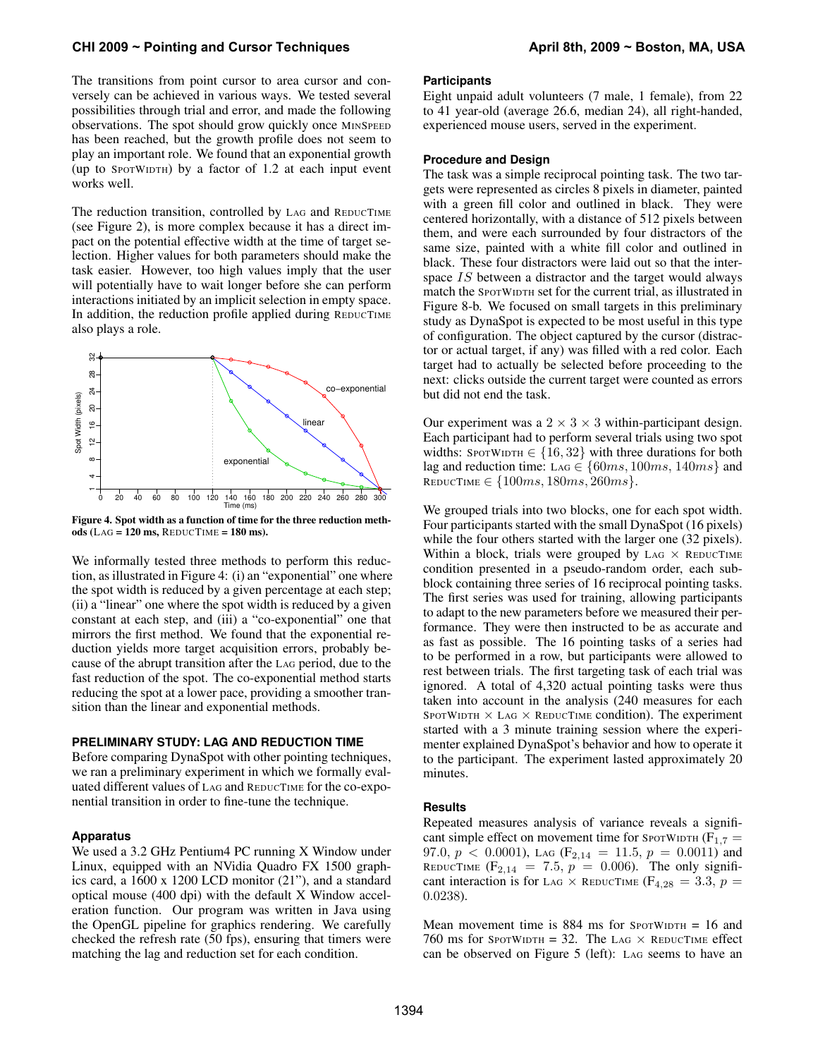The transitions from point cursor to area cursor and conversely can be achieved in various ways. We tested several possibilities through trial and error, and made the following observations. The spot should grow quickly once MINSPEED has been reached, but the growth profile does not seem to play an important role. We found that an exponential growth (up to SPOTWIDTH) by a factor of 1.2 at each input event works well.

The reduction transition, controlled by LAG and REDUCTIME (see Figure 2), is more complex because it has a direct impact on the potential effective width at the time of target selection. Higher values for both parameters should make the task easier. However, too high values imply that the user will potentially have to wait longer before she can perform interactions initiated by an implicit selection in empty space. In addition, the reduction profile applied during REDUCTIME also plays a role.



Figure 4. Spot width as a function of time for the three reduction methods (LAG =  $120$  ms, REDUCTIME =  $180$  ms).

We informally tested three methods to perform this reduction, as illustrated in Figure 4: (i) an "exponential" one where the spot width is reduced by a given percentage at each step; (ii) a "linear" one where the spot width is reduced by a given constant at each step, and (iii) a "co-exponential" one that mirrors the first method. We found that the exponential reduction yields more target acquisition errors, probably because of the abrupt transition after the LAG period, due to the fast reduction of the spot. The co-exponential method starts reducing the spot at a lower pace, providing a smoother transition than the linear and exponential methods.

# **PRELIMINARY STUDY: LAG AND REDUCTION TIME**

Before comparing DynaSpot with other pointing techniques, we ran a preliminary experiment in which we formally evaluated different values of LAG and REDUCTIME for the co-exponential transition in order to fine-tune the technique.

#### **Apparatus**

We used a 3.2 GHz Pentium4 PC running X Window under Linux, equipped with an NVidia Quadro FX 1500 graphics card, a 1600 x 1200 LCD monitor (21"), and a standard optical mouse (400 dpi) with the default X Window acceleration function. Our program was written in Java using the OpenGL pipeline for graphics rendering. We carefully checked the refresh rate (50 fps), ensuring that timers were matching the lag and reduction set for each condition.

## **Participants**

Eight unpaid adult volunteers (7 male, 1 female), from 22 to 41 year-old (average 26.6, median 24), all right-handed, experienced mouse users, served in the experiment.

#### **Procedure and Design**

The task was a simple reciprocal pointing task. The two targets were represented as circles 8 pixels in diameter, painted with a green fill color and outlined in black. They were centered horizontally, with a distance of 512 pixels between them, and were each surrounded by four distractors of the same size, painted with a white fill color and outlined in black. These four distractors were laid out so that the interspace IS between a distractor and the target would always match the SPOTWIDTH set for the current trial, as illustrated in Figure 8-b. We focused on small targets in this preliminary study as DynaSpot is expected to be most useful in this type of configuration. The object captured by the cursor (distractor or actual target, if any) was filled with a red color. Each target had to actually be selected before proceeding to the next: clicks outside the current target were counted as errors but did not end the task.

Our experiment was a  $2 \times 3 \times 3$  within-participant design. Each participant had to perform several trials using two spot widths: SPOTWIDTH  $\in \{16, 32\}$  with three durations for both lag and reduction time: LAG  $\in \{60ms, 100ms, 140ms\}$  and REDUCTIME  $\in \{100ms, 180ms, 260ms\}.$ 

We grouped trials into two blocks, one for each spot width. Four participants started with the small DynaSpot (16 pixels) while the four others started with the larger one (32 pixels). Within a block, trials were grouped by  $\text{LAG} \times \text{REDUCTIME}$ condition presented in a pseudo-random order, each subblock containing three series of 16 reciprocal pointing tasks. The first series was used for training, allowing participants to adapt to the new parameters before we measured their performance. They were then instructed to be as accurate and as fast as possible. The 16 pointing tasks of a series had to be performed in a row, but participants were allowed to rest between trials. The first targeting task of each trial was ignored. A total of 4,320 actual pointing tasks were thus taken into account in the analysis (240 measures for each SPOTWIDTH  $\times$  LAG  $\times$  REDUCTIME condition). The experiment started with a 3 minute training session where the experimenter explained DynaSpot's behavior and how to operate it to the participant. The experiment lasted approximately 20 minutes.

#### **Results**

Repeated measures analysis of variance reveals a significant simple effect on movement time for SPOTWIDTH ( $F_{1,7}$  = 97.0,  $p < 0.0001$ ), LAG (F<sub>2,14</sub> = 11.5,  $p = 0.0011$ ) and REDUCTIME  $(F_{2,14} = 7.5, p = 0.006)$ . The only significant interaction is for LAG  $\times$  REDUCTIME (F<sub>4,28</sub> = 3.3, p = 0.0238).

Mean movement time is  $884$  ms for SPOTWIDTH = 16 and 760 ms for SPOTWIDTH = 32. The LAG  $\times$  REDUCTIME effect can be observed on Figure 5 (left): LAG seems to have an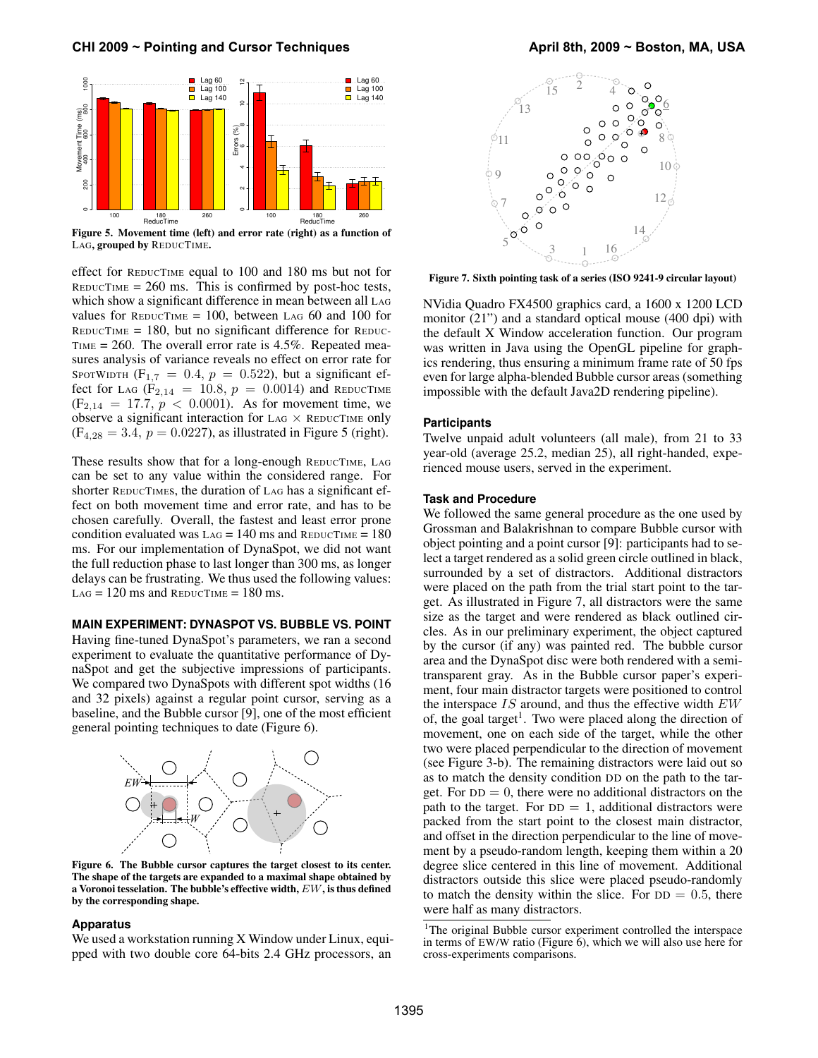

Figure 5. Movement time (left) and error rate (right) as a function of LAG, grouped by REDUCTIME.

effect for REDUCTIME equal to 100 and 180 ms but not for  $REDUCTIME = 260$  ms. This is confirmed by post-hoc tests, which show a significant difference in mean between all LAG values for  $REDUCTIME = 100$ , between LAG 60 and 100 for  $REDUCTIME = 180$ , but no significant difference for  $REDUC$ TIME = 260. The overall error rate is 4.5%. Repeated measures analysis of variance reveals no effect on error rate for SPOTWIDTH  $(F_{1,7} = 0.4, p = 0.522)$ , but a significant effect for LAG ( $F_{2,14} = 10.8$ ,  $p = 0.0014$ ) and REDUCTIME  $(F_{2,14} = 17.7, p < 0.0001)$ . As for movement time, we observe a significant interaction for LAG  $\times$  REDUCTIME only  $(F_{4,28} = 3.4, p = 0.0227)$ , as illustrated in Figure 5 (right).

These results show that for a long-enough REDUCTIME, LAG can be set to any value within the considered range. For shorter REDUCTIMEs, the duration of LAG has a significant effect on both movement time and error rate, and has to be chosen carefully. Overall, the fastest and least error prone condition evaluated was  $\text{LAG} = 140 \text{ ms}$  and  $\text{REDUCTIME} = 180$ ms. For our implementation of DynaSpot, we did not want the full reduction phase to last longer than 300 ms, as longer delays can be frustrating. We thus used the following values:  $LAG = 120$  ms and  $REDUCTIME = 180$  ms.

#### **MAIN EXPERIMENT: DYNASPOT VS. BUBBLE VS. POINT**

Having fine-tuned DynaSpot's parameters, we ran a second experiment to evaluate the quantitative performance of DynaSpot and get the subjective impressions of participants. We compared two DynaSpots with different spot widths (16 and 32 pixels) against a regular point cursor, serving as a baseline, and the Bubble cursor [9], one of the most efficient general pointing techniques to date (Figure 6).



Figure 6. The Bubble cursor captures the target closest to its center. The shape of the targets are expanded to a maximal shape obtained by a Voronoi tesselation. The bubble's effective width, EW, is thus defined by the corresponding shape.

#### **Apparatus**

We used a workstation running X Window under Linux, equipped with two double core 64-bits 2.4 GHz processors, an



Figure 7. Sixth pointing task of a series (ISO 9241-9 circular layout)

NVidia Quadro FX4500 graphics card, a 1600 x 1200 LCD monitor (21") and a standard optical mouse (400 dpi) with the default X Window acceleration function. Our program was written in Java using the OpenGL pipeline for graphics rendering, thus ensuring a minimum frame rate of 50 fps even for large alpha-blended Bubble cursor areas (something impossible with the default Java2D rendering pipeline).

#### **Participants**

Twelve unpaid adult volunteers (all male), from 21 to 33 year-old (average 25.2, median 25), all right-handed, experienced mouse users, served in the experiment.

## **Task and Procedure**

We followed the same general procedure as the one used by Grossman and Balakrishnan to compare Bubble cursor with object pointing and a point cursor [9]: participants had to select a target rendered as a solid green circle outlined in black, surrounded by a set of distractors. Additional distractors were placed on the path from the trial start point to the target. As illustrated in Figure 7, all distractors were the same size as the target and were rendered as black outlined circles. As in our preliminary experiment, the object captured by the cursor (if any) was painted red. The bubble cursor area and the DynaSpot disc were both rendered with a semitransparent gray. As in the Bubble cursor paper's experiment, four main distractor targets were positioned to control the interspace  $IS$  around, and thus the effective width  $EW$ of, the goal target<sup>1</sup>. Two were placed along the direction of movement, one on each side of the target, while the other two were placed perpendicular to the direction of movement (see Figure 3-b). The remaining distractors were laid out so as to match the density condition DD on the path to the target. For  $DD = 0$ , there were no additional distractors on the path to the target. For  $DD = 1$ , additional distractors were packed from the start point to the closest main distractor, and offset in the direction perpendicular to the line of movement by a pseudo-random length, keeping them within a 20 degree slice centered in this line of movement. Additional distractors outside this slice were placed pseudo-randomly to match the density within the slice. For  $DD = 0.5$ , there were half as many distractors.

<sup>&</sup>lt;sup>1</sup>The original Bubble cursor experiment controlled the interspace in terms of EW/W ratio (Figure  $\hat{6}$ ), which we will also use here for cross-experiments comparisons.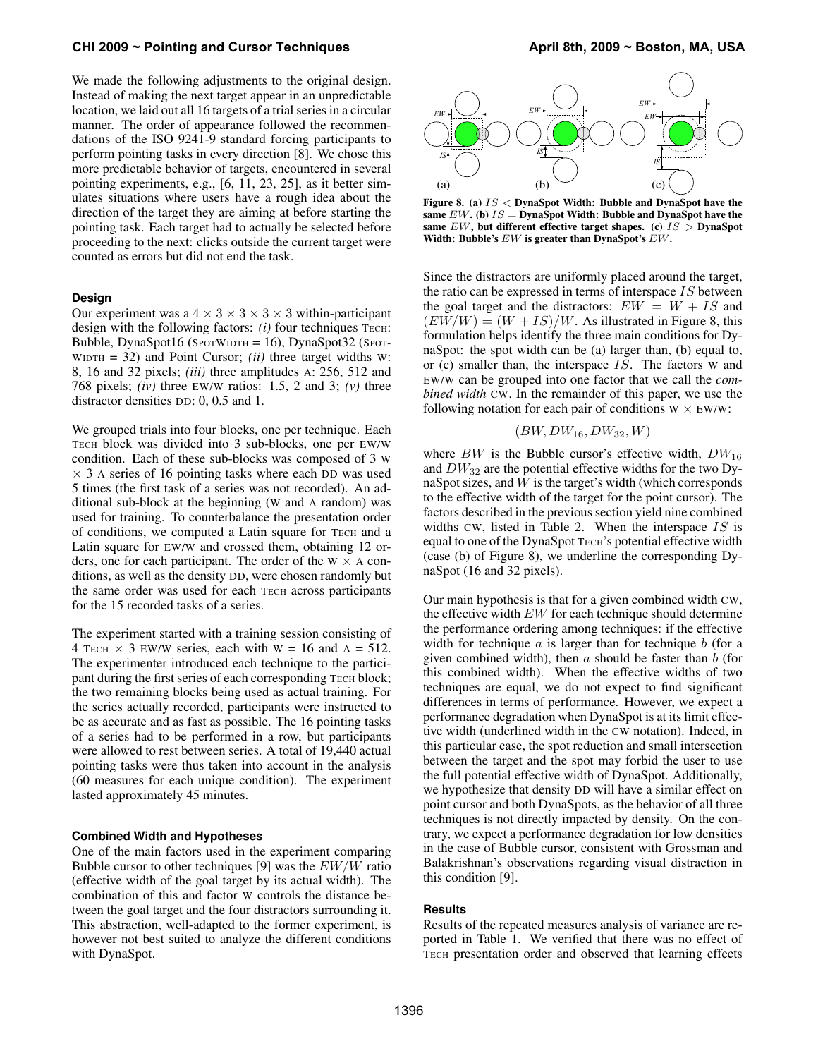We made the following adjustments to the original design. Instead of making the next target appear in an unpredictable location, we laid out all 16 targets of a trial series in a circular manner. The order of appearance followed the recommendations of the ISO 9241-9 standard forcing participants to perform pointing tasks in every direction [8]. We chose this more predictable behavior of targets, encountered in several pointing experiments, e.g., [6, 11, 23, 25], as it better simulates situations where users have a rough idea about the direction of the target they are aiming at before starting the pointing task. Each target had to actually be selected before proceeding to the next: clicks outside the current target were counted as errors but did not end the task.

#### **Design**

Our experiment was a  $4 \times 3 \times 3 \times 3 \times 3$  within-participant design with the following factors:  $(i)$  four techniques TECH: Bubble, DynaSpot16 (SPOTWIDTH = 16), DynaSpot32 (SPOT-WIDTH = 32) and Point Cursor; *(ii)* three target widths W: 8, 16 and 32 pixels; *(iii)* three amplitudes A: 256, 512 and 768 pixels; *(iv)* three EW/W ratios: 1.5, 2 and 3; *(v)* three distractor densities DD: 0, 0.5 and 1.

We grouped trials into four blocks, one per technique. Each TECH block was divided into 3 sub-blocks, one per EW/W condition. Each of these sub-blocks was composed of 3 W  $\times$  3 A series of 16 pointing tasks where each DD was used 5 times (the first task of a series was not recorded). An additional sub-block at the beginning (W and A random) was used for training. To counterbalance the presentation order of conditions, we computed a Latin square for TECH and a Latin square for EW/W and crossed them, obtaining 12 orders, one for each participant. The order of the  $W \times A$  conditions, as well as the density DD, were chosen randomly but the same order was used for each TECH across participants for the 15 recorded tasks of a series.

The experiment started with a training session consisting of 4 TECH  $\times$  3 EW/W series, each with W = 16 and A = 512. The experimenter introduced each technique to the participant during the first series of each corresponding TECH block; the two remaining blocks being used as actual training. For the series actually recorded, participants were instructed to be as accurate and as fast as possible. The 16 pointing tasks of a series had to be performed in a row, but participants were allowed to rest between series. A total of 19,440 actual pointing tasks were thus taken into account in the analysis (60 measures for each unique condition). The experiment lasted approximately 45 minutes.

#### **Combined Width and Hypotheses**

One of the main factors used in the experiment comparing Bubble cursor to other techniques [9] was the  $EW/W$  ratio (effective width of the goal target by its actual width). The combination of this and factor W controls the distance between the goal target and the four distractors surrounding it. This abstraction, well-adapted to the former experiment, is however not best suited to analyze the different conditions with DynaSpot.



Figure 8. (a)  $IS <$  DynaSpot Width: Bubble and DynaSpot have the same  $EW$ . (b)  $IS =$  DynaSpot Width: Bubble and DynaSpot have the same  $EW$ , but different effective target shapes. (c)  $IS$  > DynaSpot Width: Bubble's EW is greater than DynaSpot's EW.

Since the distractors are uniformly placed around the target, the ratio can be expressed in terms of interspace IS between the goal target and the distractors:  $EW = W + IS$  and  $(EW/W) = (W + IS)/W$ . As illustrated in Figure 8, this formulation helps identify the three main conditions for DynaSpot: the spot width can be (a) larger than, (b) equal to, or (c) smaller than, the interspace IS. The factors W and EW/W can be grouped into one factor that we call the *combined width* CW. In the remainder of this paper, we use the following notation for each pair of conditions  $W \times EW/W$ :

$$
(BW, DW_{16}, DW_{32}, W)
$$

where  $BW$  is the Bubble cursor's effective width,  $DW_{16}$ and  $DW_{32}$  are the potential effective widths for the two DynaSpot sizes, and  $W$  is the target's width (which corresponds to the effective width of the target for the point cursor). The factors described in the previous section yield nine combined widths CW, listed in Table 2. When the interspace  $IS$  is equal to one of the DynaSpot TECH's potential effective width (case (b) of Figure 8), we underline the corresponding DynaSpot (16 and 32 pixels).

Our main hypothesis is that for a given combined width CW, the effective width  $EW$  for each technique should determine the performance ordering among techniques: if the effective width for technique  $\alpha$  is larger than for technique  $\delta$  (for a given combined width), then  $a$  should be faster than  $b$  (for this combined width). When the effective widths of two techniques are equal, we do not expect to find significant differences in terms of performance. However, we expect a performance degradation when DynaSpot is at its limit effective width (underlined width in the CW notation). Indeed, in this particular case, the spot reduction and small intersection between the target and the spot may forbid the user to use the full potential effective width of DynaSpot. Additionally, we hypothesize that density DD will have a similar effect on point cursor and both DynaSpots, as the behavior of all three techniques is not directly impacted by density. On the contrary, we expect a performance degradation for low densities in the case of Bubble cursor, consistent with Grossman and Balakrishnan's observations regarding visual distraction in this condition [9].

## **Results**

Results of the repeated measures analysis of variance are reported in Table 1. We verified that there was no effect of TECH presentation order and observed that learning effects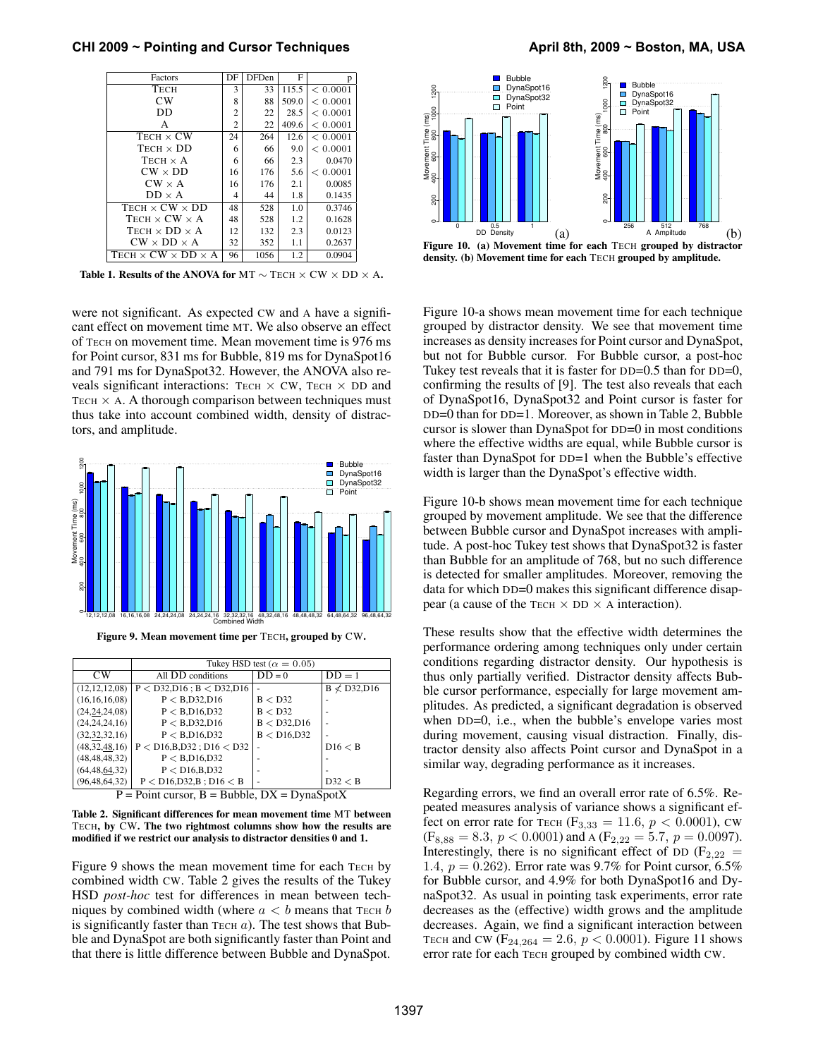**CHI 2009 ~ Pointing and Cursor Techniques April 8th, 2009 ~ Boston, MA, USA**

| Factors                                 | DF             | <b>DFDen</b> | F     | p        |
|-----------------------------------------|----------------|--------------|-------|----------|
| TECH                                    | 3              | 33           | 115.5 | < 0.0001 |
| CW                                      | 8              | 88           | 509.0 | < 0.0001 |
| DD                                      | $\overline{c}$ | 22           | 28.5  | < 0.0001 |
| A                                       | $\overline{c}$ | 22           | 409.6 | < 0.0001 |
| $TECH \times CW$                        | 24             | 264          | 12.6  | < 0.0001 |
| $TECH \times DD$                        | 6              | 66           | 9.0   | < 0.0001 |
| TECH $\times$ A                         | 6              | 66           | 2.3   | 0.0470   |
| $CW \times DD$                          | 16             | 176          | 5.6   | < 0.0001 |
| $CW \times A$                           | 16             | 176          | 2.1   | 0.0085   |
| $DD \times A$                           | 4              | 44           | 1.8   | 0.1435   |
| $TECH \times CW \times DD$              | 48             | 528          | 1.0   | 0.3746   |
| TECH $\times$ CW $\times$ A             | 48             | 528          | 1.2   | 0.1628   |
| TECH $\times$ DD $\times$ A             | 12             | 132          | 2.3   | 0.0123   |
| $CW \times DD \times A$                 | 32             | 352          | 1.1   | 0.2637   |
| TECH $\times$ CW $\times$ DD $\times$ A | 96             | 1056         | 1.2   | 0.0904   |

Table 1. Results of the ANOVA for MT  $\sim$  TECH  $\times$  CW  $\times$  DD  $\times$  A.

were not significant. As expected CW and A have a significant effect on movement time MT. We also observe an effect of TECH on movement time. Mean movement time is 976 ms for Point cursor, 831 ms for Bubble, 819 ms for DynaSpot16 and 791 ms for DynaSpot32. However, the ANOVA also reveals significant interactions: TECH  $\times$  CW, TECH  $\times$  DD and TECH  $\times$  A. A thorough comparison between techniques must thus take into account combined width, density of distractors, and amplitude.



Figure 9. Mean movement time per TECH, grouped by CW.

|                                                    | Tukey HSD test ( $\alpha = 0.05$ ) |              |                    |  |  |
|----------------------------------------------------|------------------------------------|--------------|--------------------|--|--|
| CW                                                 | All DD conditions                  | $DD = 0$     | $DD = 1$           |  |  |
| (12, 12, 12, 08)                                   | $P <$ D32, D16; B $<$ D32, D16     |              | $B \nless D32,D16$ |  |  |
| (16, 16, 16, 08)                                   | P < B.D32.D16                      | B < D32      |                    |  |  |
| (24, 24, 24, 08)                                   | P < B.D16.D32                      | B < D32      |                    |  |  |
| (24, 24, 24, 16)                                   | P < B.D32.D16                      | B < D32,D16  |                    |  |  |
| (32, 32, 32, 16)                                   | P < B.D16.D32                      | B < D16, D32 |                    |  |  |
| (48, 32, 48, 16)                                   | $P < D16, B, D32$ ; $D16 < D32$    |              | DI6 < B            |  |  |
| (48, 48, 48, 32)                                   | P < B.D16.D32                      |              |                    |  |  |
| (64, 48, 64, 32)                                   | P < D16, B, D32                    |              |                    |  |  |
| (96, 48, 64, 32)                                   | $P < D16, D32, B$ ; $D16 < B$      |              | D32 < B            |  |  |
| $P =$ Point cursor, $B =$ Bubble, $DX =$ DynaSpotX |                                    |              |                    |  |  |

Table 2. Significant differences for mean movement time MT between

TECH, by CW. The two rightmost columns show how the results are modified if we restrict our analysis to distractor densities 0 and 1.

Figure 9 shows the mean movement time for each TECH by combined width CW. Table 2 gives the results of the Tukey HSD *post-hoc* test for differences in mean between techniques by combined width (where  $a < b$  means that TECH b is significantly faster than  $T_{ECH}$  a). The test shows that Bubble and DynaSpot are both significantly faster than Point and that there is little difference between Bubble and DynaSpot.



Figure 10. (a) Movement time for each TECH grouped by distractor density. (b) Movement time for each TECH grouped by amplitude.

Figure 10-a shows mean movement time for each technique grouped by distractor density. We see that movement time increases as density increases for Point cursor and DynaSpot, but not for Bubble cursor. For Bubble cursor, a post-hoc Tukey test reveals that it is faster for DD=0.5 than for DD=0, confirming the results of [9]. The test also reveals that each of DynaSpot16, DynaSpot32 and Point cursor is faster for DD=0 than for DD=1. Moreover, as shown in Table 2, Bubble cursor is slower than DynaSpot for DD=0 in most conditions where the effective widths are equal, while Bubble cursor is faster than DynaSpot for DD=1 when the Bubble's effective width is larger than the DynaSpot's effective width.

Figure 10-b shows mean movement time for each technique grouped by movement amplitude. We see that the difference between Bubble cursor and DynaSpot increases with amplitude. A post-hoc Tukey test shows that DynaSpot32 is faster than Bubble for an amplitude of 768, but no such difference is detected for smaller amplitudes. Moreover, removing the data for which DD=0 makes this significant difference disappear (a cause of the TECH  $\times$  DD  $\times$  A interaction).

These results show that the effective width determines the performance ordering among techniques only under certain conditions regarding distractor density. Our hypothesis is thus only partially verified. Distractor density affects Bubble cursor performance, especially for large movement amplitudes. As predicted, a significant degradation is observed when DD=0, i.e., when the bubble's envelope varies most during movement, causing visual distraction. Finally, distractor density also affects Point cursor and DynaSpot in a similar way, degrading performance as it increases.

Regarding errors, we find an overall error rate of 6.5%. Repeated measures analysis of variance shows a significant effect on error rate for TECH ( $F_{3,33} = 11.6, p < 0.0001$ ), CW  $(F_{8,88} = 8.3, p < 0.0001)$  and A  $(F_{2,22} = 5.7, p = 0.0097)$ . Interestingly, there is no significant effect of DD ( $F_{2,22}$  = 1.4,  $p = 0.262$ ). Error rate was 9.7% for Point cursor, 6.5% for Bubble cursor, and 4.9% for both DynaSpot16 and DynaSpot32. As usual in pointing task experiments, error rate decreases as the (effective) width grows and the amplitude decreases. Again, we find a significant interaction between TECH and CW ( $F_{24,264} = 2.6$ ,  $p < 0.0001$ ). Figure 11 shows error rate for each TECH grouped by combined width CW.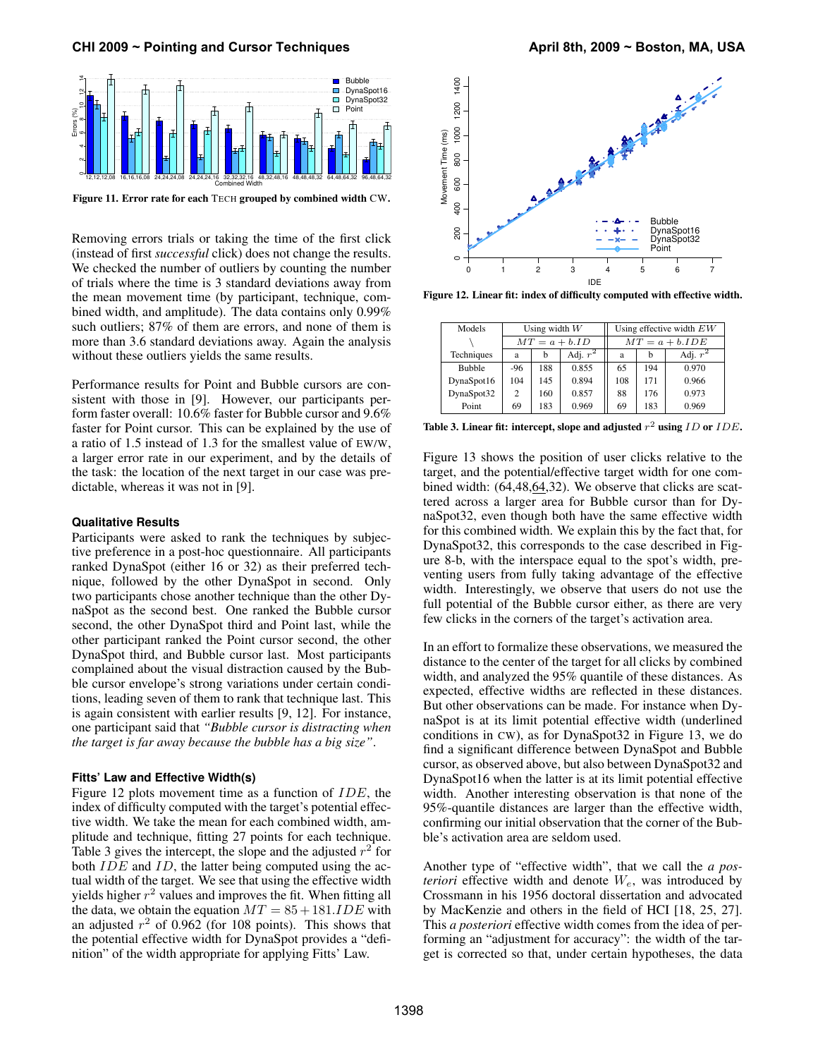

Figure 11. Error rate for each TECH grouped by combined width CW.

Removing errors trials or taking the time of the first click (instead of first *successful* click) does not change the results. We checked the number of outliers by counting the number of trials where the time is 3 standard deviations away from the mean movement time (by participant, technique, combined width, and amplitude). The data contains only 0.99% such outliers; 87% of them are errors, and none of them is more than 3.6 standard deviations away. Again the analysis without these outliers yields the same results.

Performance results for Point and Bubble cursors are consistent with those in [9]. However, our participants perform faster overall: 10.6% faster for Bubble cursor and 9.6% faster for Point cursor. This can be explained by the use of a ratio of 1.5 instead of 1.3 for the smallest value of EW/W, a larger error rate in our experiment, and by the details of the task: the location of the next target in our case was predictable, whereas it was not in [9].

#### **Qualitative Results**

Participants were asked to rank the techniques by subjective preference in a post-hoc questionnaire. All participants ranked DynaSpot (either 16 or 32) as their preferred technique, followed by the other DynaSpot in second. Only two participants chose another technique than the other DynaSpot as the second best. One ranked the Bubble cursor second, the other DynaSpot third and Point last, while the other participant ranked the Point cursor second, the other DynaSpot third, and Bubble cursor last. Most participants complained about the visual distraction caused by the Bubble cursor envelope's strong variations under certain conditions, leading seven of them to rank that technique last. This is again consistent with earlier results [9, 12]. For instance, one participant said that *"Bubble cursor is distracting when the target is far away because the bubble has a big size"*.

# **Fitts' Law and Effective Width(s)**

Figure 12 plots movement time as a function of IDE, the index of difficulty computed with the target's potential effective width. We take the mean for each combined width, amplitude and technique, fitting 27 points for each technique. Table 3 gives the intercept, the slope and the adjusted  $r^2$  for both  $IDE$  and  $ID$ , the latter being computed using the actual width of the target. We see that using the effective width yields higher  $r^2$  values and improves the fit. When fitting all the data, we obtain the equation  $MT = 85 + 181.IDE$  with an adjusted  $r^2$  of 0.962 (for 108 points). This shows that the potential effective width for DynaSpot provides a "definition" of the width appropriate for applying Fitts' Law.



Figure 12. Linear fit: index of difficulty computed with effective width.

| Models        | Using width $W$ |     |                  | Using effective width $EW$ |     |            |
|---------------|-----------------|-----|------------------|----------------------------|-----|------------|
|               | $MT = a + b.ID$ |     | $MT = a + b.IDE$ |                            |     |            |
| Techniques    | a               | b   | Adj. $r^2$       | a                          | h   | Adj. $r^2$ |
| <b>Bubble</b> | -96             | 188 | 0.855            | 65                         | 194 | 0.970      |
| DynaSpot16    | 104             | 145 | 0.894            | 108                        | 171 | 0.966      |
| DynaSpot32    | 2               | 160 | 0.857            | 88                         | 176 | 0.973      |
| Point         | 69              | 183 | 0.969            | 69                         | 183 | 0.969      |

Table 3. Linear fit: intercept, slope and adjusted  $r^2$  using  $ID$  or  $IDE$ .

Figure 13 shows the position of user clicks relative to the target, and the potential/effective target width for one combined width: (64,48,64,32). We observe that clicks are scattered across a larger area for Bubble cursor than for DynaSpot32, even though both have the same effective width for this combined width. We explain this by the fact that, for DynaSpot32, this corresponds to the case described in Figure 8-b, with the interspace equal to the spot's width, preventing users from fully taking advantage of the effective width. Interestingly, we observe that users do not use the full potential of the Bubble cursor either, as there are very few clicks in the corners of the target's activation area.

In an effort to formalize these observations, we measured the distance to the center of the target for all clicks by combined width, and analyzed the 95% quantile of these distances. As expected, effective widths are reflected in these distances. But other observations can be made. For instance when DynaSpot is at its limit potential effective width (underlined conditions in CW), as for DynaSpot32 in Figure 13, we do find a significant difference between DynaSpot and Bubble cursor, as observed above, but also between DynaSpot32 and DynaSpot16 when the latter is at its limit potential effective width. Another interesting observation is that none of the 95%-quantile distances are larger than the effective width, confirming our initial observation that the corner of the Bubble's activation area are seldom used.

Another type of "effective width", that we call the *a posteriori* effective width and denote  $W_e$ , was introduced by Crossmann in his 1956 doctoral dissertation and advocated by MacKenzie and others in the field of HCI [18, 25, 27]. This *a posteriori* effective width comes from the idea of performing an "adjustment for accuracy": the width of the target is corrected so that, under certain hypotheses, the data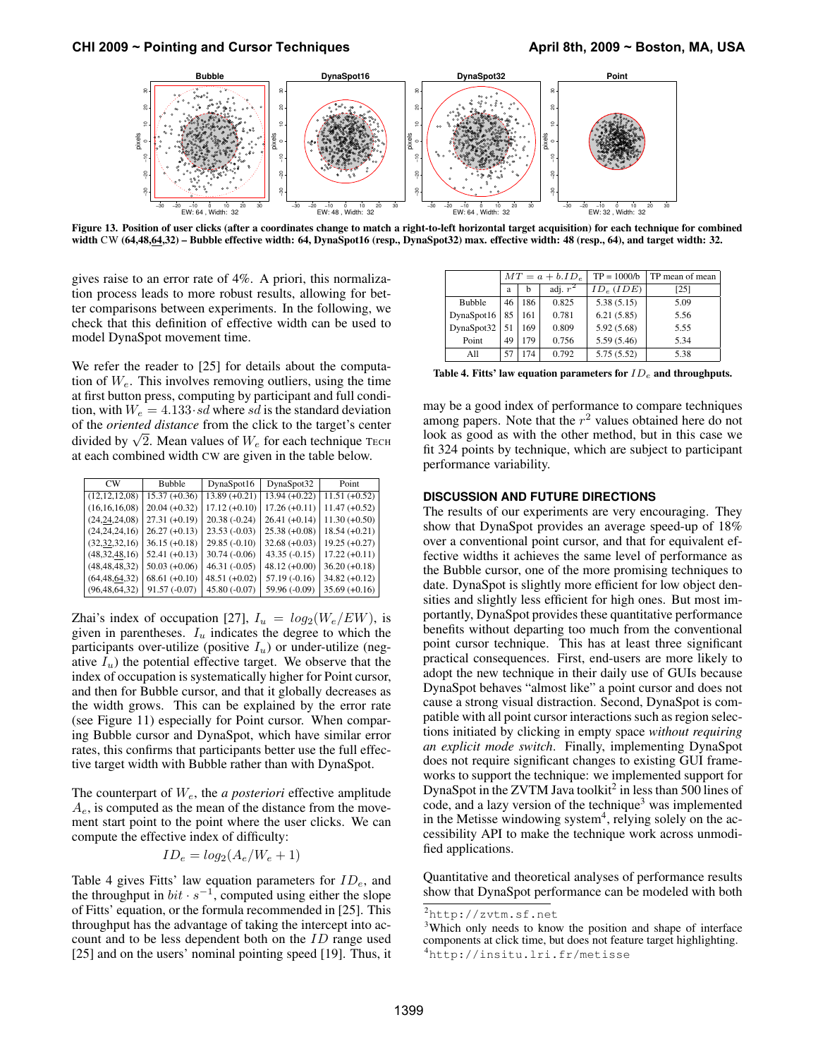

Figure 13. Position of user clicks (after a coordinates change to match a right-to-left horizontal target acquisition) for each technique for combined width CW (64,48,64,32) – Bubble effective width: 64, DynaSpot16 (resp., DynaSpot32) max. effective width: 48 (resp., 64), and target width: 32.

gives raise to an error rate of 4%. A priori, this normalization process leads to more robust results, allowing for better comparisons between experiments. In the following, we check that this definition of effective width can be used to model DynaSpot movement time.

We refer the reader to [25] for details about the computation of  $W_e$ . This involves removing outliers, using the time at first button press, computing by participant and full condition, with  $W_e = 4.133 \cdot sd$  where sd is the standard deviation of the *oriented distance* from the click to the target's center of the *oriented alstance* from the click to the target s center<br>divided by  $\sqrt{2}$ . Mean values of  $W_e$  for each technique TECH at each combined width CW are given in the table below.

| $_{\text{CW}}$   | <b>Bubble</b>   | DynaSpot16      | DynaSpot32      | Point           |
|------------------|-----------------|-----------------|-----------------|-----------------|
| (12, 12, 12, 08) | $15.37 (+0.36)$ | $13.89 (+0.21)$ | $13.94 (+0.22)$ | $11.51 (+0.52)$ |
| (16, 16, 16, 08) | $20.04 (+0.32)$ | $17.12 (+0.10)$ | $17.26 (+0.11)$ | $11.47 (+0.52)$ |
| (24, 24, 24, 08) | $27.31 (+0.19)$ | $20.38(-0.24)$  | $26.41 (+0.14)$ | $11.30 (+0.50)$ |
| (24, 24, 24, 16) | $26.27 (+0.13)$ | $23.53(-0.03)$  | $25.38(+0.08)$  | $18.54 (+0.21)$ |
| (32, 32, 32, 16) | $36.15 (+0.18)$ | $29.85(-0.10)$  | $32.68 (+0.03)$ | $19.25 (+0.27)$ |
| (48, 32, 48, 16) | $52.41 (+0.13)$ | $30.74(-0.06)$  | $43.35(-0.15)$  | $17.22 (+0.11)$ |
| (48, 48, 48, 32) | $50.03 (+0.06)$ | $46.31(-0.05)$  | $48.12 (+0.00)$ | $36.20 (+0.18)$ |
| (64, 48, 64, 32) | $68.61 (+0.10)$ | $48.51 (+0.02)$ | $57.19(-0.16)$  | $34.82 (+0.12)$ |
| (96, 48, 64, 32) | $91.57(-0.07)$  | $45.80(-0.07)$  | 59.96 (-0.09)   | $35.69 (+0.16)$ |

Zhai's index of occupation [27],  $I_u = log_2(W_e/EW)$ , is given in parentheses.  $I_u$  indicates the degree to which the participants over-utilize (positive  $I_u$ ) or under-utilize (negative  $I_u$ ) the potential effective target. We observe that the index of occupation is systematically higher for Point cursor, and then for Bubble cursor, and that it globally decreases as the width grows. This can be explained by the error rate (see Figure 11) especially for Point cursor. When comparing Bubble cursor and DynaSpot, which have similar error rates, this confirms that participants better use the full effective target width with Bubble rather than with DynaSpot.

The counterpart of We, the *a posteriori* effective amplitude  $A_e$ , is computed as the mean of the distance from the movement start point to the point where the user clicks. We can compute the effective index of difficulty:

$$
ID_e = log_2(A_e/W_e + 1)
$$

Table 4 gives Fitts' law equation parameters for  $ID_e$ , and the throughput in  $bit \cdot s^{-1}$ , computed using either the slope of Fitts' equation, or the formula recommended in [25]. This throughput has the advantage of taking the intercept into account and to be less dependent both on the ID range used [25] and on the users' nominal pointing speed [19]. Thus, it

|               | $MT = a + b.ID_e$ |     |            | $TP = 1000/b$ | TP mean of mean |
|---------------|-------------------|-----|------------|---------------|-----------------|
|               | a                 | h   | adj. $r^2$ | $ID_e (IDE)$  | [25]            |
| <b>Bubble</b> | 46                | 186 | 0.825      | 5.38(5.15)    | 5.09            |
| DynaSpot16    | 85                | 161 | 0.781      | 6.21(5.85)    | 5.56            |
| DynaSpot32    |                   | 169 | 0.809      | 5.92(5.68)    | 5.55            |
| Point         | 49                | 179 | 0.756      | 5.59(5.46)    | 5.34            |
| All           | 57                | 174 | 0.792      | 5.75(5.52)    | 5.38            |

Table 4. Fitts' law equation parameters for  $ID_e$  and throughputs.

may be a good index of performance to compare techniques among papers. Note that the  $r^2$  values obtained here do not look as good as with the other method, but in this case we fit 324 points by technique, which are subject to participant performance variability.

#### **DISCUSSION AND FUTURE DIRECTIONS**

The results of our experiments are very encouraging. They show that DynaSpot provides an average speed-up of 18% over a conventional point cursor, and that for equivalent effective widths it achieves the same level of performance as the Bubble cursor, one of the more promising techniques to date. DynaSpot is slightly more efficient for low object densities and slightly less efficient for high ones. But most importantly, DynaSpot provides these quantitative performance benefits without departing too much from the conventional point cursor technique. This has at least three significant practical consequences. First, end-users are more likely to adopt the new technique in their daily use of GUIs because DynaSpot behaves "almost like" a point cursor and does not cause a strong visual distraction. Second, DynaSpot is compatible with all point cursor interactions such as region selections initiated by clicking in empty space *without requiring an explicit mode switch*. Finally, implementing DynaSpot does not require significant changes to existing GUI frameworks to support the technique: we implemented support for DynaSpot in the ZVTM Java toolkit<sup>2</sup> in less than 500 lines of code, and a lazy version of the technique<sup>3</sup> was implemented in the Metisse windowing system<sup>4</sup>, relying solely on the accessibility API to make the technique work across unmodified applications.

Quantitative and theoretical analyses of performance results show that DynaSpot performance can be modeled with both

<sup>2</sup>http://zvtm.sf.net

<sup>&</sup>lt;sup>3</sup>Which only needs to know the position and shape of interface components at click time, but does not feature target highlighting. <sup>4</sup>http://insitu.lri.fr/metisse